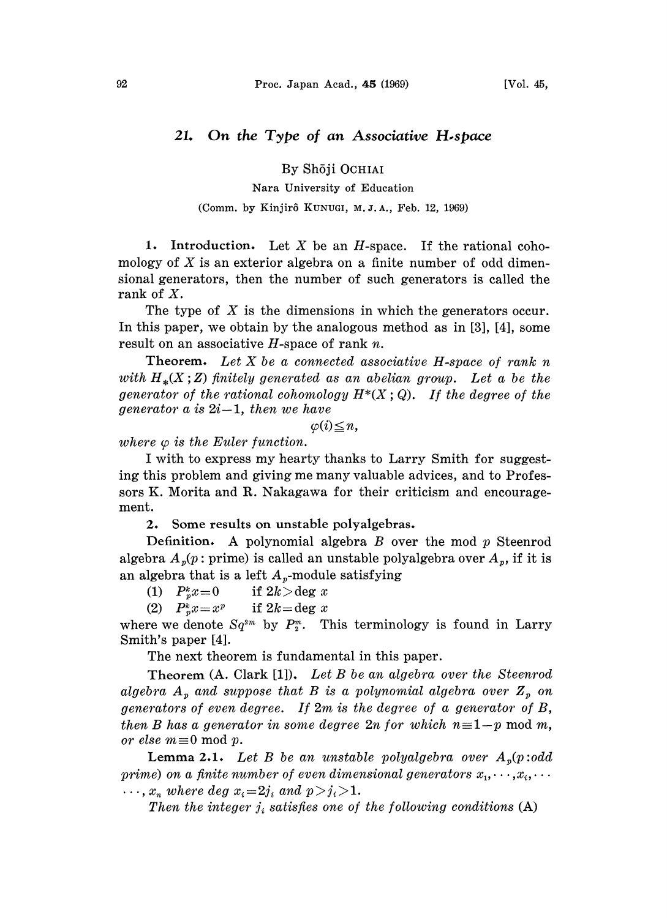# 21. On the Type of an Associative H.space

## By Shōji OCHIAI

### Nara University of Education

#### (Comm. by Kinjirô KUNUGI, M.J.A., Feb. 12, 1969)

1. Introduction. Let  $X$  be an  $H$ -space. If the rational cohomology of  $X$  is an exterior algebra on a finite number of odd dimensional generators, then the number of such generators is called the rank of X.

The type of  $X$  is the dimensions in which the generators occur. In this paper, we obtain by the analogous method as in [3], [4], some result on an associative  $H$ -space of rank  $n$ .

Theorem. Let  $X$  be a connected associative H-space of rank  $n$ with  $H_*(X;Z)$  finitely generated as an abelian group. Let a be the generator of the rational cohomology  $H^*(X; Q)$ . If the degree of the generator a is  $2i-1$ , then we have

 $\varphi(i) \leq n$ ,

where  $\varphi$  is the Euler function.

I with to express my hearty thanks to Larry Smith for suggesting this problem and giving me many valuable advices, and to Professors K. Morita and R. Nakagawa for their criticism and encouragement.

2. Some results on unstable polyalgebras.

Definition. A polynomial algebra  $B$  over the mod  $p$  Steenrod algebra  $A_n(p)$ : prime) is called an unstable polyalgebra over  $A_n$ , if it is an algebra that is a left  $A_p$ -module satisfying<br>(1)  $P_x^k x = 0$  if  $2k > \deg x$ 

(1)  $P_p^k x = 0$  if  $2k > \deg x$ <br>
(2)  $P_n^k x = x^p$  if  $2k = \deg x$ 

(2)  $P_n^k x = x^p$ 

where we denote  $Sq^{2m}$  by  $P_{\nu}^{m}$ . This terminology is found in Larry Smith's paper [4].

The next theorem is fundamental in this paper.

Theorem (A. Clark [1]). Let B be an algebra over the Steenrod algebra  $A_p$  and suppose that B is a polynomial algebra over  $Z_p$  on generators of even degree. If 2m is the degree of a generator of B, then B has a generator in some degree  $2n$  for which  $n\equiv 1-p \mod m$ , or else  $m \equiv 0 \mod p$ .

**Lemma 2.1.** Let B be an unstable polyalgebra over  $A_p(p:odd)$ prime) on a finite number of even dimensional generators  $x_1, \dots, x_i, \dots$  $\ldots$ ,  $x_n$  where deg  $x_i = 2j_i$  and  $p > j_i > 1$ .

Then the integer  $j_i$  satisfies one of the following conditions  $(A)$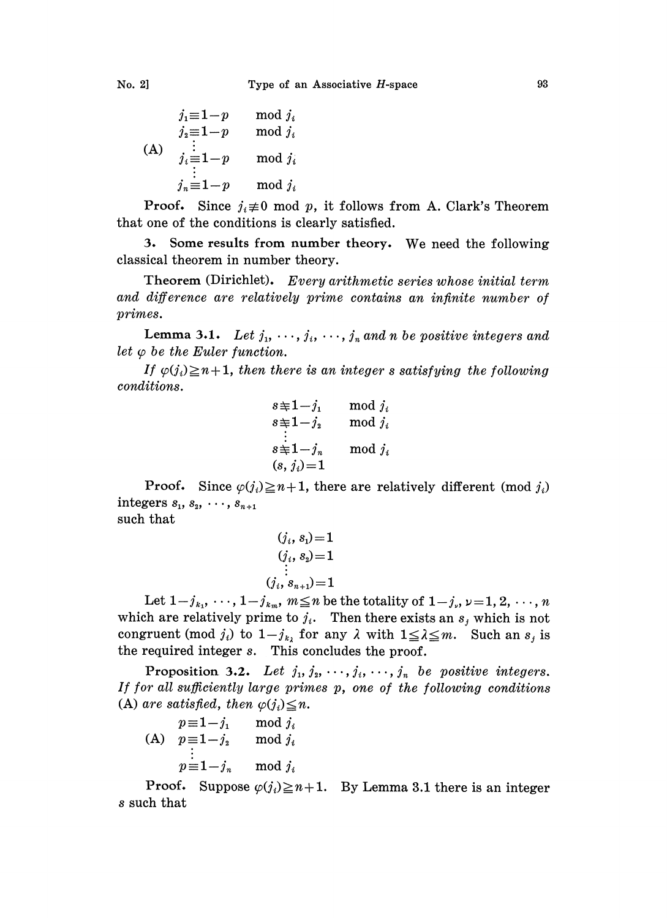$$
j_1 \equiv 1-p \mod j_i
$$
  
\n
$$
j_2 \equiv 1-p \mod j_i
$$
  
\n(A) 
$$
j_i \equiv 1-p \mod j_i
$$
  
\n
$$
j_n \equiv 1-p \mod j_i
$$

**Proof.** Since  $j_i \neq 0$  mod p, it follows from A. Clark's Theorem that one of the conditions is clearly satisfied.

3. Some results from number theory. We need the following classical theorem in number theory.

Theorem (Dirichlet). Every arithmetic series whose initial term and difference are relatively prime contains an infinite number of primes.

Lemma 3.1. Let  $j_1, \dots, j_i, \dots, j_n$  and n be positive integers and let  $\varphi$  be the Euler function.

If  $\varphi(j_i)\geq n+1$ , then there is an integer s satisfying the following conditions.

$$
s = 1 - j_1 \text{ mod } j_i
$$
  
\n
$$
s = 1 - j_2 \text{ mod } j_i
$$
  
\n
$$
\vdots
$$
  
\n
$$
s = 1 - j_n \text{ mod } j_i
$$
  
\n
$$
(s, j_i) = 1
$$

**Proof.** Since  $\varphi(j_i) \geq n+1$ , there are relatively different (mod  $j_i$ ) integers  $s_1, s_2, \cdots, s_{n+1}$ such that

$$
\cdots
$$

$$
(j_i,s_1)\!=\!1\atop (j_i,s_2)\!=\!1\atop \vdots \atop (j_i,s_{n+1})\!=\!1
$$

Let  $1-j_{k_1}, \dots, 1-j_{k_m}, m \leq n$  be the totality of  $1-j_{k_1}, \dots, n$ which are relatively prime to  $j_i$ . Then there exists an  $s_j$  which is not congruent (mod  $j_i$ ) to  $1-j_{k_i}$  for any  $\lambda$  with  $1 \leq \lambda \leq m$ . Such an  $s_j$  is the required integer s. This concludes the proof.

Proposition 3.2. Let  $j_1, j_2, \dots, j_i, \dots, j_n$  be positive integers. If for all sufficiently large primes p, one of the following conditions (A) are satisfied, then  $\varphi(j_i) \leq n$ .

$$
p \equiv 1 - j_1 \mod j_i
$$
  
(A)  $p \equiv 1 - j_2 \mod j_i$   
 $\vdots$   
 $p \equiv 1 - j_n \mod j_i$ 

**Proof.** Suppose  $\varphi(j_i) \geq n+1$ . By Lemma 3.1 there is an integer s such that